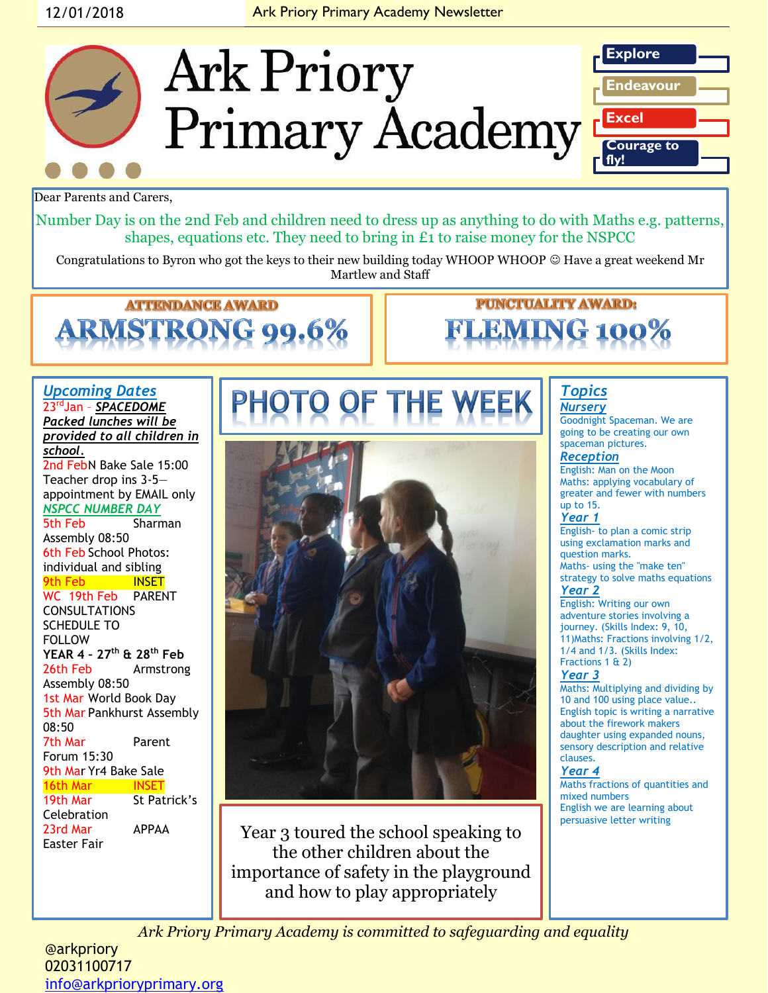### 12/01/2018 **Ark Priory Primary Academy Newsletter**



Dear Parents and Carers,

Number Day is on the 2nd Feb and children need to dress up as anything to do with Maths e.g. patterns, shapes, equations etc. They need to bring in £1 to raise money for the NSPCC

Congratulations to Byron who got the keys to their new building today WHOOP WHOOP © Have a great weekend Mr Martlew and Staff

### **ATTENDANCE AWARD** MSTRON 99.6%

# **PUNCTUALITY AWARD:**

### *Upcoming Dates* 23rdJan – *SPACEDOME Packed lunches will be*

*provided to all children in school.* 2nd FebN Bake Sale 15:00

Teacher drop ins 3-5 appointment by EMAIL only *NSPCC NUMBER DAY* 

5th Feb Sharman Assembly 08:50 6th Feb School Photos: individual and sibling 9th Feb INSET WC 19th Feb PARENT CONSULTATIONS SCHEDULE TO FOLLOW **YEAR 4 – 27th & 28th Feb** 26th Feb Armstrong Assembly 08:50 1st Mar World Book Day 5th Mar Pankhurst Assembly 08:50 7th Mar Parent Forum 15:30 9th Mar Yr4 Bake Sale 16th Mar INSET 19th Mar St Patrick's **Celebration** 23rd Mar APPAA Easter Fair



Year 3 toured the school speaking to the other children about the importance of safety in the playground and how to play appropriately

#### *Topics Nursery*

Goodnight Spaceman. We are going to be creating our own spaceman pictures.

#### *Reception*

English: Man on the Moon Maths: applying vocabulary of greater and fewer with numbers up to 15.

#### *Year 1*

English- to plan a comic strip using exclamation marks and question marks. Maths- using the "make ten" strategy to solve maths equations

### *Year 2*

English: Writing our own adventure stories involving a journey. (Skills Index: 9, 10, 11)Maths: Fractions involving 1/2, 1/4 and 1/3. (Skills Index: Fractions 1 & 2)

### *Year 3*

Maths: Multiplying and dividing by 10 and 100 using place value.. English topic is writing a narrative about the firework makers daughter using expanded nouns, sensory description and relative clauses.

### *Year 4*

Maths fractions of quantities and mixed numbers English we are learning about persuasive letter writing

*Ark Priory Primary Academy is committed to safeguarding and equality* 

### @arkpriory 02031100717 [info@arkprioryprimary.org](mailto:info@arkprioryprimary.org)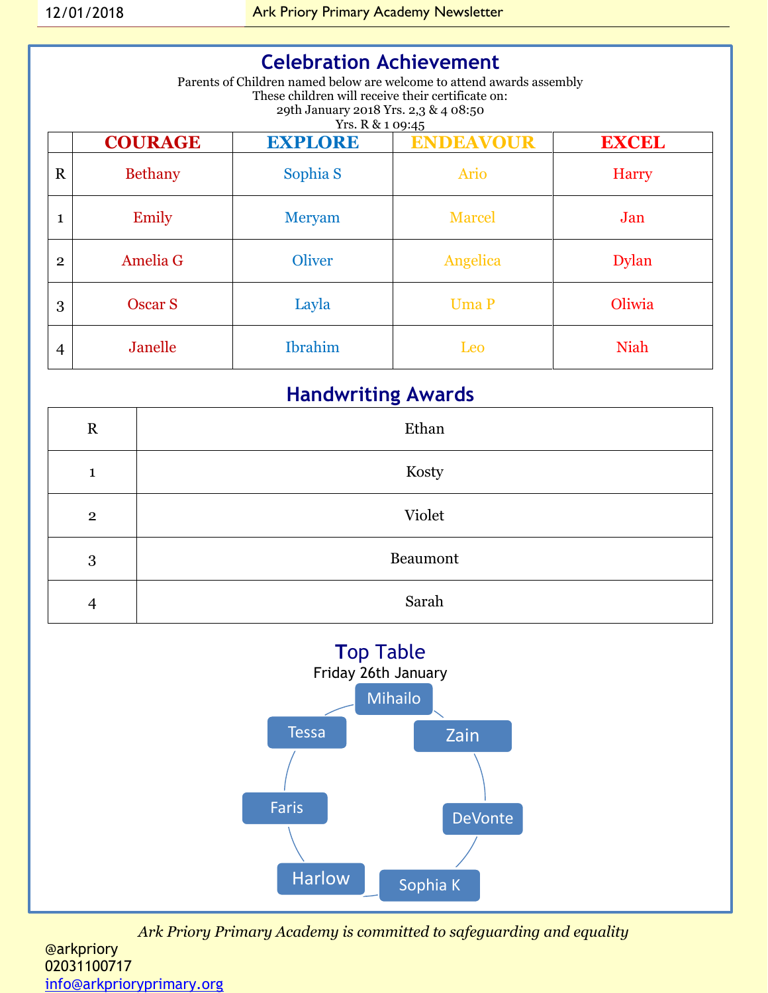### **Celebration Achievement**

Parents of Children named below are welcome to attend awards assembly These children will receive their certificate on: 29th January 2018 Yrs. 2,3 & 4 08:50 Yrs. R & 1 09:45

|                | <b>COURAGE</b> | <b>EXPLORE</b> | <b>ENDEAVOUR</b> | <b>EXCEL</b> |
|----------------|----------------|----------------|------------------|--------------|
| $\mathbf R$    | <b>Bethany</b> | Sophia S       | <b>Ario</b>      | <b>Harry</b> |
| $\mathbf{1}$   | Emily          | Meryam         | <b>Marcel</b>    | Jan          |
| $\overline{2}$ | Amelia G       | <b>Oliver</b>  | Angelica         | <b>Dylan</b> |
| 3              | Oscar S        | Layla          | <b>Uma P</b>     | Oliwia       |
| 4              | Janelle        | <b>Ibrahim</b> | Leo              | <b>Niah</b>  |

### **Handwriting Awards**

| $\mathbf R$    | Ethan    |
|----------------|----------|
| 1              | Kosty    |
| $\overline{2}$ | Violet   |
| 3              | Beaumont |
| $\overline{4}$ | Sarah    |



*Ark Priory Primary Academy is committed to safeguarding and equality*  @arkpriory 02031100717

[info@arkprioryprimary.org](mailto:info@arkprioryprimary.org)